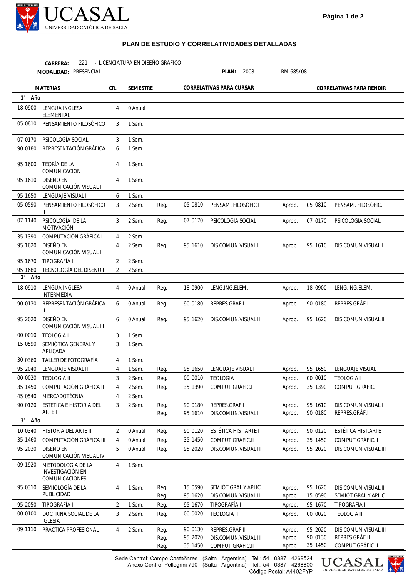

## **PLAN DE ESTUDIO Y CORRELATIVIDADES DETALLADAS**

LICENCIATURA EN DISEÑO GRÁFICO **CARRERA:** 221 -

| MODALIDAD: PRESENCIAL |                                                                |                |                 |              |                          | PLAN:<br>2008                               | RM 685/08                |                    |                                             |
|-----------------------|----------------------------------------------------------------|----------------|-----------------|--------------|--------------------------|---------------------------------------------|--------------------------|--------------------|---------------------------------------------|
| <b>MATERIAS</b>       |                                                                | CR.            | <b>SEMESTRE</b> |              | CORRELATIVAS PARA CURSAR |                                             | CORRELATIVAS PARA RENDIR |                    |                                             |
| 1° Año                |                                                                |                |                 |              |                          |                                             |                          |                    |                                             |
| 18 0900               | LENGUA INGLESA<br>ELEMENTAL                                    | 4              | 0 Anual         |              |                          |                                             |                          |                    |                                             |
| 05 0810               | PENSAMIENTO FILOSÓFICO                                         | 3              | 1 Sem.          |              |                          |                                             |                          |                    |                                             |
| 07 0170               | PSICOLOGÍA SOCIAL                                              | 3              | 1 Sem.          |              |                          |                                             |                          |                    |                                             |
| 90 0180               | REPRESENTACIÓN GRÁFICA                                         | 6              | 1 Sem.          |              |                          |                                             |                          |                    |                                             |
| 95 1600               | <b>TEORÍA DE LA</b><br>COMUNICACIÓN                            | 4              | 1 Sem.          |              |                          |                                             |                          |                    |                                             |
| 95 1610               | DISEÑO EN<br>COMUNICACIÓN VISUAL I                             | 4              | 1 Sem.          |              |                          |                                             |                          |                    |                                             |
| 95 1650               | LENGUAJE VISUAL I                                              | 6              | 1 Sem.          |              |                          |                                             |                          |                    |                                             |
| 05 0590               | PENSAMIENTO FILOSÓFICO<br>$\mathbf{II}$                        | 3              | 2 Sem.          | Reg.         | 05 0810                  | PENSAM. FILOSÓFIC.I                         | Aprob.                   | 05 0810            | PENSAM. FILOSÓFIC.I                         |
| 07 1140               | PSICOLOGÍA DE LA<br>MOTIVACIÓN                                 | 3              | 2 Sem.          | Reg.         | 07 0170                  | PSICOLOGIA SOCIAL                           | Aprob.                   | 07 0170            | PSICOLOGIA SOCIAL                           |
| 35 1390               | COMPUTACIÓN GRÁFICA I                                          | 4              | 2 Sem.          |              |                          |                                             |                          |                    |                                             |
| 95 1620               | <b>DISEÑO EN</b><br>COMUNICACIÓN VISUAL II                     | 4              | 2 Sem.          | Reg.         | 95 1610                  | DIS.COMUN.VISUAL I                          | Aprob.                   | 95 1610            | DIS.COMUN.VISUAL I                          |
| 95 1670               | TIPOGRAFÍA I                                                   | 2              | 2 Sem.          |              |                          |                                             |                          |                    |                                             |
| 95 1680               | TECNOLOGÍA DEL DISEÑO I                                        | 2              | 2 Sem.          |              |                          |                                             |                          |                    |                                             |
| $2^{\circ}$<br>Año    |                                                                |                |                 |              |                          |                                             |                          |                    |                                             |
| 18 0910               | LENGUA INGLESA<br>INTERMEDIA                                   | $\overline{4}$ | 0 Anual         | Reg.         | 18 0900                  | LENG.ING.ELEM.                              | Aprob.                   | 18 0900            | LENG.ING.ELEM.                              |
| 90 0130               | REPRESENTACIÓN GRÁFICA<br>$\mathbf{H}$                         | 6              | 0 Anual         | Reg.         | 90 0180                  | REPRES.GRÁF.I                               | Aprob.                   | 90 0180            | REPRES.GRÁF.I                               |
| 95 2020               | <b>DISEÑO EN</b><br>COMUNICACIÓN VISUAL III                    | 6              | 0 Anual         | Reg.         | 95 1620                  | DIS.COMUN.VISUAL II                         | Aprob.                   | 95 1620            | DIS.COMUN.VISUAL II                         |
| 00 0010               | <b>TEOLOGÍA I</b>                                              | 3              | 1 Sem.          |              |                          |                                             |                          |                    |                                             |
| 15 0590               | SEMIÓTICA GENERAL Y<br>APLICADA                                | 3              | 1 Sem.          |              |                          |                                             |                          |                    |                                             |
| 30 0360               | TALLER DE FOTOGRAFÍA                                           | $\overline{4}$ | 1 Sem.          |              |                          |                                             |                          |                    |                                             |
| 95 2040               | LENGUAJE VISUAL II                                             | 4              | 1 Sem.          | Reg.         | 95 1650                  | LENGUAJE VISUAL I                           | Aprob.                   | 95 1650            | LENGUAJE VISUAL I                           |
| 00 00 20              | TEOLOGÍA II                                                    | 3              | 2 Sem.          | Reg.         | 00 0010                  | <b>TEOLOGIA I</b>                           | Aprob.                   | 00 0010            | <b>TEOLOGIA I</b>                           |
| 35 1450               | COMPUTACIÓN GRÁFICA II                                         | 4              | 2 Sem.          | Reg.         | 35 1390                  | COMPUT.GRÁFIC.I                             | Aprob.                   | 35 1390            | COMPUT.GRÁFIC.I                             |
| 45 0540               | MERCADOTÉCNIA                                                  | 4              | 2 Sem.          |              |                          |                                             |                          |                    |                                             |
| 90 01 20              | ESTÉTICA E HISTORIA DEL<br>ARTE I                              | 3              | 2 Sem.          | Reg.<br>Reg. | 90 0180<br>95 1610       | REPRES.GRÁF.I<br>DIS.COMUN.VISUAL I         | Aprob.<br>Aprob.         | 95 1610<br>90 0180 | DIS.COMUN.VISUAL I<br>REPRES.GRÁF.I         |
| Año<br>$3^{\circ}$    |                                                                |                |                 |              |                          |                                             |                          |                    |                                             |
| 10 0340               | HISTORIA DEL ARTE II                                           | 2              | 0 Anual         | Reg.         | 90 0120                  | ESTÉTICA HIST.ARTE I                        | Aprob.                   | 90 0120            | ESTÉTICA HIST.ARTE I                        |
| 35 1460               | COMPUTACIÓN GRÁFICA III                                        | 4              | 0 Anual         | Reg.         | 35 1450                  | COMPUT.GRÁFIC.II                            | Aprob.                   | 35 1450            | COMPUT.GRÁFIC.II                            |
| 95 2030               | DISEÑO EN<br>COMUNICACIÓN VISUAL IV                            | 5              | 0 Anual         | Reg.         | 95 2020                  | DIS.COMUN.VISUAL III                        | Aprob.                   | 95 2020            | DIS.COMUN.VISUAL III                        |
| 09 1920               | METODOLOGÍA DE LA<br><b>INVESTIGACIÓN EN</b><br>COMUNICACIONES | 4              | 1 Sem.          |              |                          |                                             |                          |                    |                                             |
| 95 0310               | SEMIOLOGÍA DE LA<br>PUBLICIDAD                                 | 4              | 1 Sem.          | Reg.<br>Reg. | 15 0590<br>95 1620       | SEMIÓT.GRAL Y APLIC.<br>DIS.COMUN.VISUAL II | Aprob.<br>Aprob.         | 95 1620<br>15 0590 | DIS.COMUN.VISUAL II<br>SEMIÓT.GRAL Y APLIC. |
| 95 2050               | TIPOGRAFÍA II                                                  | $\overline{2}$ | 1 Sem.          | Reg.         | 95 1670                  | TIPOGRAFÍA I                                | Aprob.                   | 95 1670            | TIPOGRAFÍA I                                |
| 00 0100               | DOCTRINA SOCIAL DE LA<br><b>IGLESIA</b>                        | 3              | 2 Sem.          | Reg.         | 00 00 20                 | <b>TEOLOGIA II</b>                          | Aprob.                   | 00 0020            | <b>TEOLOGIA II</b>                          |
| 09 1110               | PRÁCTICA PROFESIONAL                                           | 4              | 2 Sem.          | Reg.         | 90 0130                  | REPRES.GRÁF.II                              | Aprob.                   | 95 2020            | DIS.COMUN.VISUAL III                        |
|                       |                                                                |                |                 | Reg.         | 95 2020                  | DIS.COMUN.VISUAL III                        | Aprob.                   | 90 0130            | REPRES.GRÁF.II                              |
|                       |                                                                |                |                 | Reg.         | 35 1450                  | COMPUT.GRÁFIC.II                            | Aprob.                   | 35 1450            | COMPUT.GRÁFIC.II                            |

Sede Central: Campo Castañares - (Salta - Argentina) - Tel.: 54 - 0387 - 4268524<br>Anexo Centro: Pellegrini 790 - (Salta - Argentina) - Tel.: 54 - 0387 - 4268800 Código Postal: A4402FYP